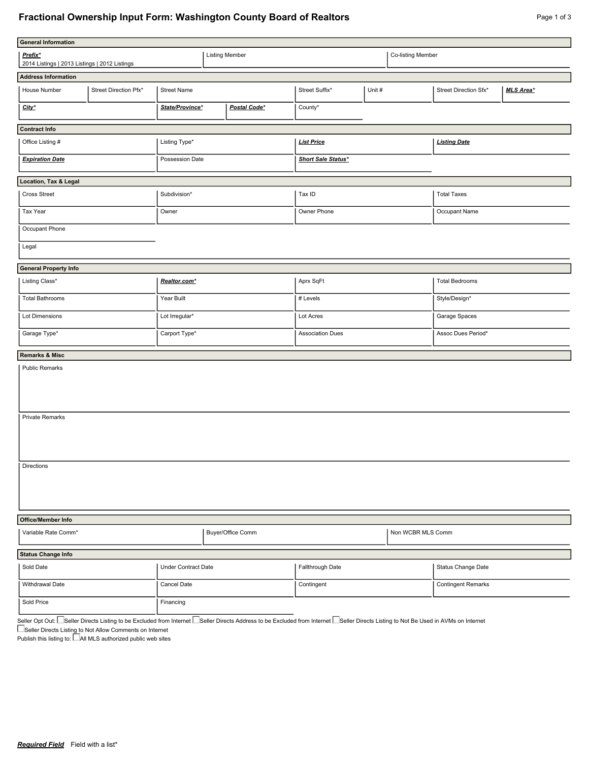## **Fractional Ownership Input Form: Washington County Board of Realtors** Page 1 of 3 Page 1 of 3

| Page 1 or 3 |  |
|-------------|--|
|             |  |
|             |  |
|             |  |

| <b>General Information</b>                               |                       |                     |                       |                         |                    |                           |                       |                       |                  |
|----------------------------------------------------------|-----------------------|---------------------|-----------------------|-------------------------|--------------------|---------------------------|-----------------------|-----------------------|------------------|
| Prefix*<br>2014 Listings   2013 Listings   2012 Listings |                       |                     | <b>Listing Member</b> |                         |                    | Co-listing Member         |                       |                       |                  |
| <b>Address Information</b>                               |                       |                     |                       |                         |                    |                           |                       |                       |                  |
| House Number                                             | Street Direction Pfx* | <b>Street Name</b>  |                       |                         | Street Suffix*     | Unit #                    |                       | Street Direction Sfx* | <b>MLS Area*</b> |
| City*                                                    |                       | State/Province*     |                       | Postal Code*            | County*            |                           |                       |                       |                  |
| <b>Contract Info</b>                                     |                       |                     |                       |                         |                    |                           |                       |                       |                  |
| Office Listing #                                         |                       | Listing Type*       |                       |                         | <b>List Price</b>  |                           | <b>Listing Date</b>   |                       |                  |
| <b>Expiration Date</b>                                   |                       | Possession Date     |                       |                         | Short Sale Status* |                           |                       |                       |                  |
| Location, Tax & Legal                                    |                       |                     |                       |                         |                    |                           |                       |                       |                  |
| Cross Street<br>Subdivision*                             |                       |                     |                       |                         | Tax ID             |                           | <b>Total Taxes</b>    |                       |                  |
| Tax Year                                                 |                       | Owner               |                       |                         | Owner Phone        |                           |                       | Occupant Name         |                  |
| Occupant Phone                                           |                       |                     |                       |                         |                    |                           |                       |                       |                  |
| Legal                                                    |                       |                     |                       |                         |                    |                           |                       |                       |                  |
| <b>General Property Info</b>                             |                       |                     |                       |                         |                    |                           |                       |                       |                  |
| Listing Class*                                           |                       | Realtor.com*        |                       |                         | Aprx SqFt          |                           | <b>Total Bedrooms</b> |                       |                  |
| <b>Total Bathrooms</b>                                   |                       | Year Built          |                       | # Levels                |                    | Style/Design*             |                       |                       |                  |
| Lot Dimensions                                           |                       | Lot Irregular*      |                       | Lot Acres               |                    | Garage Spaces             |                       |                       |                  |
| Garage Type*                                             |                       | Carport Type*       |                       | <b>Association Dues</b> |                    | Assoc Dues Period*        |                       |                       |                  |
| <b>Remarks &amp; Misc</b>                                |                       |                     |                       |                         |                    |                           |                       |                       |                  |
| <b>Public Remarks</b>                                    |                       |                     |                       |                         |                    |                           |                       |                       |                  |
| <b>Private Remarks</b>                                   |                       |                     |                       |                         |                    |                           |                       |                       |                  |
| <b>Directions</b>                                        |                       |                     |                       |                         |                    |                           |                       |                       |                  |
| Office/Member Info                                       |                       |                     |                       |                         |                    |                           |                       |                       |                  |
| Variable Rate Comm*<br>Buyer/Office Comm                 |                       |                     |                       | Non WCBR MLS Comm       |                    |                           |                       |                       |                  |
| <b>Status Change Info</b>                                |                       |                     |                       |                         |                    |                           |                       |                       |                  |
| Sold Date                                                |                       | Under Contract Date |                       |                         | Fallthrough Date   |                           |                       | Status Change Date    |                  |
| Withdrawal Date                                          |                       | Cancel Date         |                       | Contingent              |                    | <b>Contingent Remarks</b> |                       |                       |                  |
| Sold Price                                               |                       | Financing           |                       |                         |                    |                           |                       |                       |                  |

Seller Opt Out: Nieller Directs Listing to be Excluded from Internet Nieller Directs Address to be Excluded from Internet Nieller Directs Listing to Not Be Used in AVMs on Internet Seller Directs Listing to Not Allow Comments on Internet

Publish this listing to:  $\Box$  All MLS authorized public web sites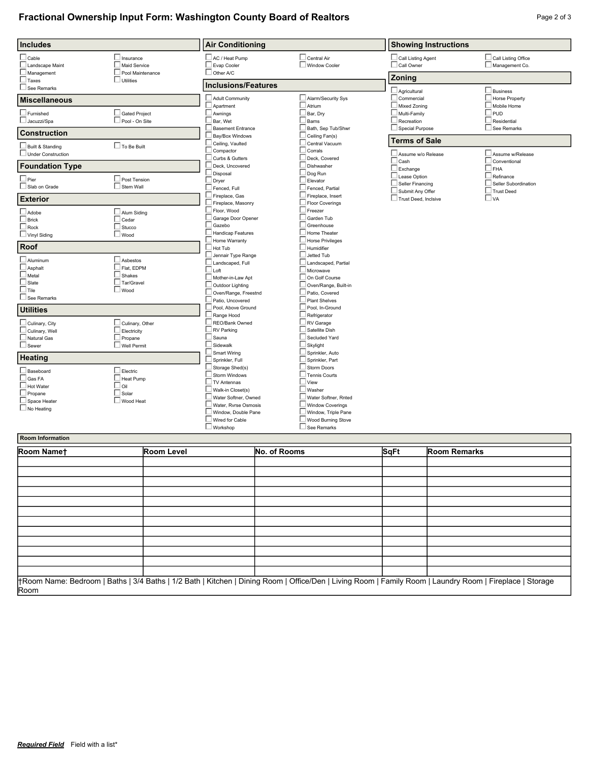## **Fractional Ownership Input Form: Washington County Board of Realtors** Page 2 of 3 Page 2 of 3

| <b>Includes</b>           |                        | <b>Air Conditioning</b>                           |                                      | <b>Showing Instructions</b>             |                                   |  |
|---------------------------|------------------------|---------------------------------------------------|--------------------------------------|-----------------------------------------|-----------------------------------|--|
| $\Box$ Cable              | $\Box$ Insurance       | AC / Heat Pump                                    | Central Air                          | Call Listing Agent                      | Call Listing Office               |  |
| Landscape Maint           | $\Box$ Maid Service    | Evap Cooler                                       | Window Cooler                        | Call Owner                              | Management Co.                    |  |
| $\Box$ Management         | Pool Maintenance       | $\Box$ Other A/C                                  |                                      |                                         |                                   |  |
| $\Box$ Taxes              | $\Box$ Utilities       | <b>Inclusions/Features</b>                        |                                      | Zoning                                  |                                   |  |
| See Remarks               |                        |                                                   |                                      | $\Box$ Agricultural                     | Business                          |  |
| <b>Miscellaneous</b>      |                        | Adult Community                                   | Alarm/Security Sys                   | $\Box$ Commercial                       | Horse Property                    |  |
|                           |                        | Apartment                                         | Atrium                               | Mixed Zoning                            | Mobile Home                       |  |
| $\Box$ Furnished          | Gated Project          | Awnings                                           | Bar, Dry                             | Multi-Family                            | $\Box$ PUD                        |  |
| Jacuzzi/Spa               | Pool - On Site         | Bar, Wet                                          | Barns                                | $\Box$ Recreation                       | $\Box$ Residential                |  |
| <b>Construction</b>       |                        | <b>Basement Entrance</b><br>Bay/Box Windows       | Bath, Sep Tub/Shwr<br>Ceiling Fan(s) | Special Purpose                         | See Remarks                       |  |
|                           |                        | Ceiling, Vaulted                                  | Central Vacuum                       | <b>Terms of Sale</b>                    |                                   |  |
| Built & Standing          | $\Box$ To Be Built     | Compactor                                         | Corrals                              |                                         |                                   |  |
| $\Box$ Under Construction |                        | Curbs & Gutters                                   | Deck, Covered                        | Assume w/o Release                      | Assume w/Release                  |  |
| <b>Foundation Type</b>    |                        | Deck. Uncovered                                   | Dishwasher                           | $\square$ Cash                          | Conventional                      |  |
|                           |                        | Disposal                                          | Dog Run                              | $\Box$ Exchange                         | $\sqcup$ fha                      |  |
| $\square$ Pier            | $\Box$ Post Tension    | Dryer                                             | Elevator                             | Lease Option<br>$\Box$ Seller Financing | Refinance<br>Seller Subordination |  |
| $\Box$ Slab on Grade      | $\Box$ Stem Wall       | Fenced, Full                                      | Fenced, Partial                      | Submit Any Offer                        | I Trust Deed                      |  |
| <b>Exterior</b>           |                        | Fireplace, Gas                                    | Fireplace, Insert                    | Trust Deed, Inclsive                    | $\square$ va                      |  |
|                           |                        | Fireplace, Masonry                                | <b>Floor Coverings</b>               |                                         |                                   |  |
| Adobe                     | Alum Siding            | Floor, Wood                                       | Freezer                              |                                         |                                   |  |
| $\Box$ Brick              | $\Box$ Cedar           | Garage Door Opener                                | Garden Tub                           |                                         |                                   |  |
| $\Box$ Rock               | $\Box$ Stucco          | Gazebo                                            | Greenhouse                           |                                         |                                   |  |
| Vinyl Siding              | $\square$ Wood         | Handicap Features                                 | Home Theater                         |                                         |                                   |  |
| Roof                      |                        | Home Warranty<br>$\overline{\phantom{a}}$ Hot Tub | Horse Privileges<br>Humidifier       |                                         |                                   |  |
|                           |                        | Jennair Type Range                                | Jetted Tub                           |                                         |                                   |  |
| $\Box$ Aluminum           | $\Box$ Asbestos        | Landscaped, Full                                  | Landscaped, Partial                  |                                         |                                   |  |
| $\Box$ Asphalt            | $\Box$ Flat. EDPM      | $\overline{\phantom{a}}$ Loft                     | Microwave                            |                                         |                                   |  |
| $\Box$ Metal              | $\Box$ Shakes          | Mother-in-Law Apt                                 | On Golf Course                       |                                         |                                   |  |
| $\Box$ Slate              | $\Box$ Tar/Gravel      | Outdoor Lighting                                  | Oven/Range, Built-in                 |                                         |                                   |  |
| $\Box$ Tile               | $\Box$ Wood            | Oven/Range, Freestnd                              | Patio, Covered                       |                                         |                                   |  |
| See Remarks               |                        | Patio, Uncovered                                  | <b>Plant Shelves</b>                 |                                         |                                   |  |
| <b>Utilities</b>          |                        | Pool, Above Ground                                | Pool, In-Ground                      |                                         |                                   |  |
|                           |                        | Range Hood                                        | Refrigerator                         |                                         |                                   |  |
| $\Box$ Culinary, City     | $\Box$ Culinary, Other | REO/Bank Owned                                    | RV Garage                            |                                         |                                   |  |
| $\Box$ Culinary, Well     | $\Box$ Electricity     | RV Parking                                        | Satellite Dish                       |                                         |                                   |  |
| $\Box$ Natural Gas        | $\Box$ Propane         | Sauna                                             | Secluded Yard                        |                                         |                                   |  |
| $\Box$ Sewer              | Well Permit            | Sidewalk                                          | Skylight                             |                                         |                                   |  |
| <b>Heating</b>            |                        | Smart Wiring                                      | Sprinkler, Auto                      |                                         |                                   |  |
|                           |                        | Sprinkler, Full<br>Storage Shed(s)                | Sprinkler, Part<br>Storm Doors       |                                         |                                   |  |
| $\Box$ Baseboard          | $\Box$ Electric        | Storm Windows                                     | <b>Tennis Courts</b>                 |                                         |                                   |  |
| $\Box$ Gas FA             | $\Box$ Heat Pump       | TV Antennas                                       | $\overline{\phantom{a}}$ View        |                                         |                                   |  |
| $\Box$ Hot Water          | $\Box$ Oil             | Walk-in Closet(s)                                 | Washer                               |                                         |                                   |  |
| $\Box$ Propane            | $\Box$ Solar           | $\perp$ Water Softner. Owned                      | Water Softner, Rnted                 |                                         |                                   |  |
| Space Heater              | Wood Heat              | Water, Ryrse Osmosis                              | <b>Window Coverings</b>              |                                         |                                   |  |
| $\Box$ No Heating         |                        | $\perp$ Window. Double Pane                       | Window, Triple Pane                  |                                         |                                   |  |
|                           |                        | $\Box$ Wired for Cable                            | Wood Burning Stove                   |                                         |                                   |  |
|                           |                        | Workshop                                          | See Remarks                          |                                         |                                   |  |
| <b>Room Information</b>   |                        |                                                   |                                      |                                         |                                   |  |

| Room Namet | <b>Room Level</b> | No. of Rooms | <b>SqFt</b> | <b>Room Remarks</b>                                                                                                                                      |
|------------|-------------------|--------------|-------------|----------------------------------------------------------------------------------------------------------------------------------------------------------|
|            |                   |              |             |                                                                                                                                                          |
|            |                   |              |             |                                                                                                                                                          |
|            |                   |              |             |                                                                                                                                                          |
|            |                   |              |             |                                                                                                                                                          |
|            |                   |              |             |                                                                                                                                                          |
|            |                   |              |             |                                                                                                                                                          |
|            |                   |              |             |                                                                                                                                                          |
|            |                   |              |             |                                                                                                                                                          |
|            |                   |              |             |                                                                                                                                                          |
|            |                   |              |             |                                                                                                                                                          |
|            |                   |              |             |                                                                                                                                                          |
|            |                   |              |             |                                                                                                                                                          |
| Room       |                   |              |             | HRoom Name: Bedroom   Baths   3/4 Baths   1/2 Bath   Kitchen   Dining Room   Office/Den   Living Room   Family Room   Laundry Room   Fireplace   Storage |